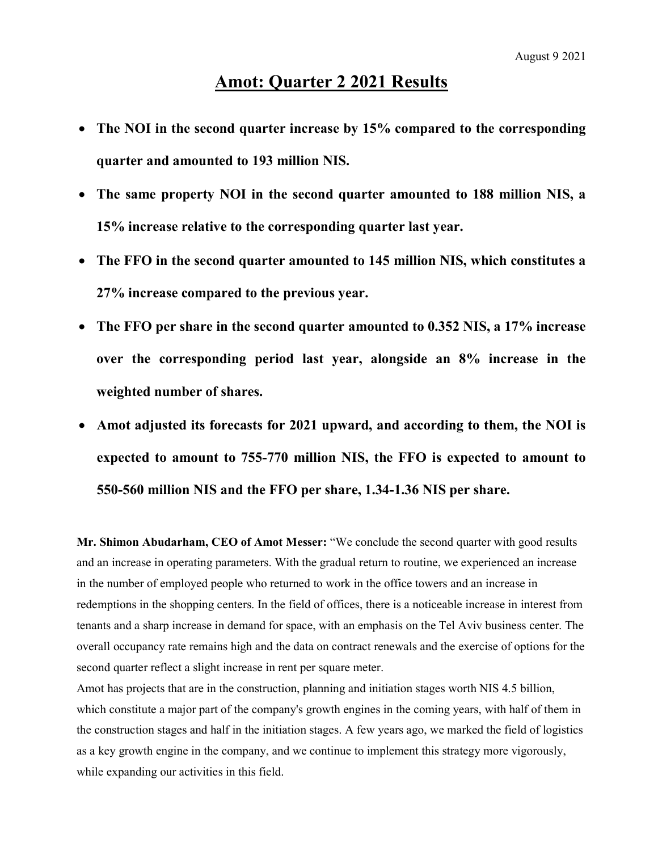# Amot: Quarter 2 2021 Results

- The NOI in the second quarter increase by 15% compared to the corresponding quarter and amounted to 193 million NIS.
- The same property NOI in the second quarter amounted to 188 million NIS, a 15% increase relative to the corresponding quarter last year.
- The FFO in the second quarter amounted to 145 million NIS, which constitutes a 27% increase compared to the previous year.
- The FFO per share in the second quarter amounted to 0.352 NIS, a 17% increase over the corresponding period last year, alongside an 8% increase in the weighted number of shares.
- Amot adjusted its forecasts for 2021 upward, and according to them, the NOI is expected to amount to 755-770 million NIS, the FFO is expected to amount to 550-560 million NIS and the FFO per share, 1.34-1.36 NIS per share.

Mr. Shimon Abudarham, CEO of Amot Messer: "We conclude the second quarter with good results and an increase in operating parameters. With the gradual return to routine, we experienced an increase in the number of employed people who returned to work in the office towers and an increase in redemptions in the shopping centers. In the field of offices, there is a noticeable increase in interest from tenants and a sharp increase in demand for space, with an emphasis on the Tel Aviv business center. The overall occupancy rate remains high and the data on contract renewals and the exercise of options for the second quarter reflect a slight increase in rent per square meter.

Amot has projects that are in the construction, planning and initiation stages worth NIS 4.5 billion, which constitute a major part of the company's growth engines in the coming years, with half of them in the construction stages and half in the initiation stages. A few years ago, we marked the field of logistics as a key growth engine in the company, and we continue to implement this strategy more vigorously, while expanding our activities in this field.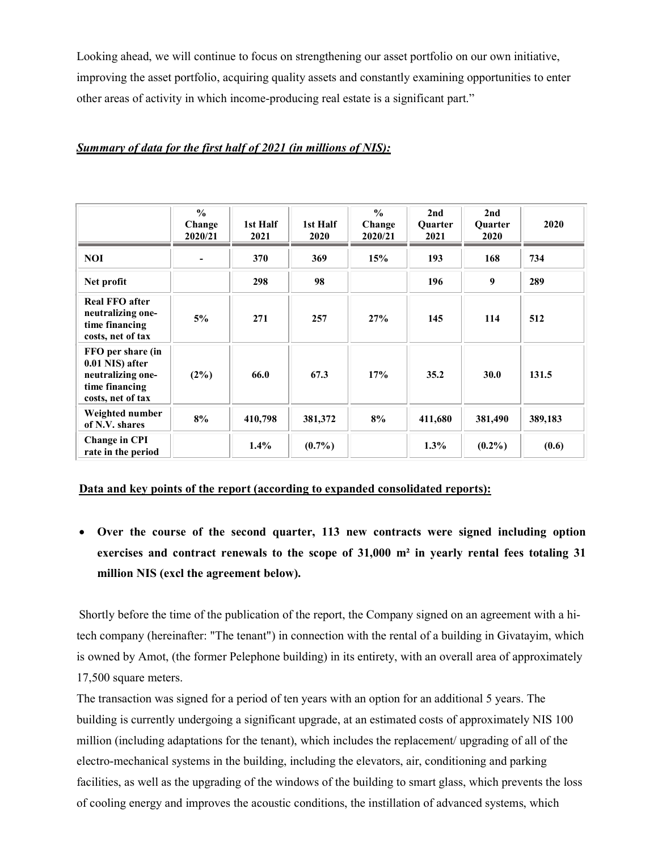Looking ahead, we will continue to focus on strengthening our asset portfolio on our own initiative, improving the asset portfolio, acquiring quality assets and constantly examining opportunities to enter other areas of activity in which income-producing real estate is a significant part."

### Summary of data for the first half of 2021 (in millions of NIS):

|                                                                                                  | $\frac{0}{0}$<br>Change<br>2020/21 | 1st Half<br>2021 | 1st Half<br>2020 | $\frac{0}{0}$<br>Change<br>2020/21 | 2nd<br><b>Ouarter</b><br>2021 | 2nd<br>Quarter<br>2020 | 2020    |
|--------------------------------------------------------------------------------------------------|------------------------------------|------------------|------------------|------------------------------------|-------------------------------|------------------------|---------|
| <b>NOI</b>                                                                                       |                                    | 370              | 369              | 15%                                | 193                           | 168                    | 734     |
| Net profit                                                                                       |                                    | 298              | 98               |                                    | 196                           | 9                      | 289     |
| <b>Real FFO after</b><br>neutralizing one-<br>time financing<br>costs, net of tax                | 5%                                 | 271              | 257              | 27%                                | 145                           | 114                    | 512     |
| FFO per share (in<br>0.01 NIS) after<br>neutralizing one-<br>time financing<br>costs, net of tax | $(2\%)$                            | 66.0             | 67.3             | 17%                                | 35.2                          | 30.0                   | 131.5   |
| Weighted number<br>of N.V. shares                                                                | 8%                                 | 410,798          | 381,372          | 8%                                 | 411,680                       | 381,490                | 389,183 |
| <b>Change in CPI</b><br>rate in the period                                                       |                                    | $1.4\%$          | $(0.7\%)$        |                                    | $1.3\%$                       | $(0.2\%)$              | (0.6)   |

#### Data and key points of the report (according to expanded consolidated reports):

 Over the course of the second quarter, 113 new contracts were signed including option exercises and contract renewals to the scope of 31,000 m² in yearly rental fees totaling 31 million NIS (excl the agreement below).

Shortly before the time of the publication of the report, the Company signed on an agreement with a hitech company (hereinafter: "The tenant") in connection with the rental of a building in Givatayim, which is owned by Amot, (the former Pelephone building) in its entirety, with an overall area of approximately 17,500 square meters.

The transaction was signed for a period of ten years with an option for an additional 5 years. The building is currently undergoing a significant upgrade, at an estimated costs of approximately NIS 100 million (including adaptations for the tenant), which includes the replacement/ upgrading of all of the electro-mechanical systems in the building, including the elevators, air, conditioning and parking facilities, as well as the upgrading of the windows of the building to smart glass, which prevents the loss of cooling energy and improves the acoustic conditions, the instillation of advanced systems, which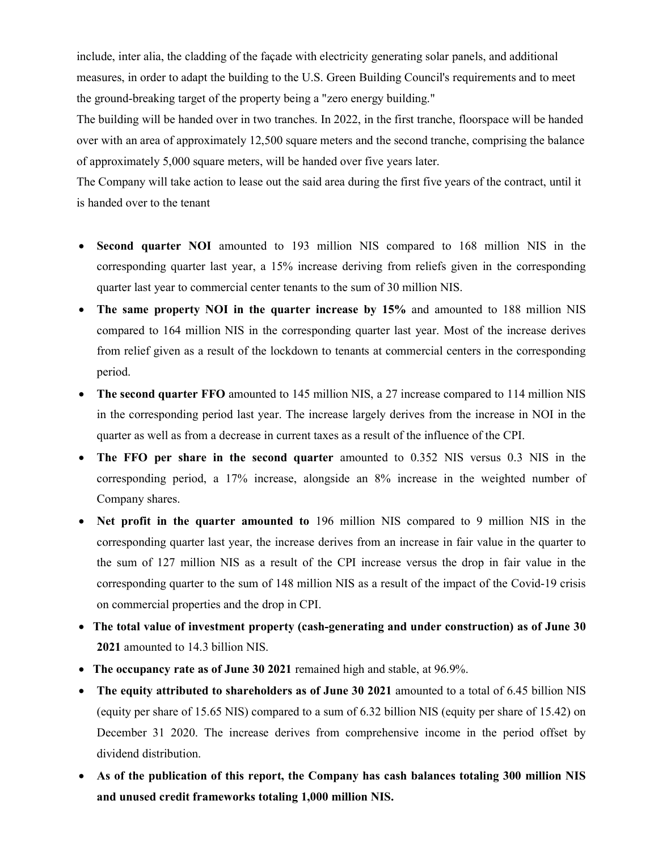include, inter alia, the cladding of the façade with electricity generating solar panels, and additional measures, in order to adapt the building to the U.S. Green Building Council's requirements and to meet the ground-breaking target of the property being a "zero energy building."

The building will be handed over in two tranches. In 2022, in the first tranche, floorspace will be handed over with an area of approximately 12,500 square meters and the second tranche, comprising the balance of approximately 5,000 square meters, will be handed over five years later.

The Company will take action to lease out the said area during the first five years of the contract, until it is handed over to the tenant

- Second quarter NOI amounted to 193 million NIS compared to 168 million NIS in the corresponding quarter last year, a 15% increase deriving from reliefs given in the corresponding quarter last year to commercial center tenants to the sum of 30 million NIS.
- The same property NOI in the quarter increase by 15% and amounted to 188 million NIS compared to 164 million NIS in the corresponding quarter last year. Most of the increase derives from relief given as a result of the lockdown to tenants at commercial centers in the corresponding period.
- The second quarter FFO amounted to 145 million NIS, a 27 increase compared to 114 million NIS in the corresponding period last year. The increase largely derives from the increase in NOI in the quarter as well as from a decrease in current taxes as a result of the influence of the CPI.
- The FFO per share in the second quarter amounted to 0.352 NIS versus 0.3 NIS in the corresponding period, a 17% increase, alongside an 8% increase in the weighted number of Company shares.
- Net profit in the quarter amounted to 196 million NIS compared to 9 million NIS in the corresponding quarter last year, the increase derives from an increase in fair value in the quarter to the sum of 127 million NIS as a result of the CPI increase versus the drop in fair value in the corresponding quarter to the sum of 148 million NIS as a result of the impact of the Covid-19 crisis on commercial properties and the drop in CPI.
- The total value of investment property (cash-generating and under construction) as of June 30 2021 amounted to 14.3 billion NIS.
- The occupancy rate as of June 30 2021 remained high and stable, at 96.9%.
- The equity attributed to shareholders as of June 30 2021 amounted to a total of 6.45 billion NIS (equity per share of 15.65 NIS) compared to a sum of 6.32 billion NIS (equity per share of 15.42) on December 31 2020. The increase derives from comprehensive income in the period offset by dividend distribution.
- As of the publication of this report, the Company has cash balances totaling 300 million NIS and unused credit frameworks totaling 1,000 million NIS.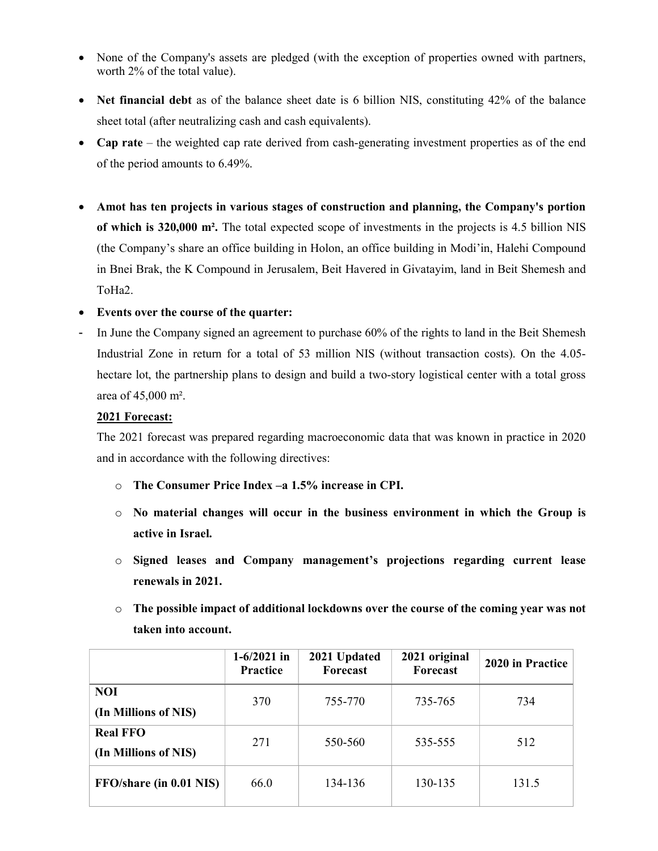- None of the Company's assets are pledged (with the exception of properties owned with partners, worth 2% of the total value).
- Net financial debt as of the balance sheet date is 6 billion NIS, constituting 42% of the balance sheet total (after neutralizing cash and cash equivalents).
- Cap rate the weighted cap rate derived from cash-generating investment properties as of the end of the period amounts to 6.49%.
- Amot has ten projects in various stages of construction and planning, the Company's portion of which is 320,000 m². The total expected scope of investments in the projects is 4.5 billion NIS (the Company's share an office building in Holon, an office building in Modi'in, Halehi Compound in Bnei Brak, the K Compound in Jerusalem, Beit Havered in Givatayim, land in Beit Shemesh and ToHa2.

# Events over the course of the quarter:

In June the Company signed an agreement to purchase 60% of the rights to land in the Beit Shemesh Industrial Zone in return for a total of 53 million NIS (without transaction costs). On the 4.05 hectare lot, the partnership plans to design and build a two-story logistical center with a total gross area of 45,000 m².

# 2021 Forecast:

The 2021 forecast was prepared regarding macroeconomic data that was known in practice in 2020 and in accordance with the following directives:

- o The Consumer Price Index –a 1.5% increase in CPI.
- $\circ$  No material changes will occur in the business environment in which the Group is active in Israel.
- o Signed leases and Company management's projections regarding current lease renewals in 2021.
- o The possible impact of additional lockdowns over the course of the coming year was not taken into account.

|                                         | $1-6/2021$ in<br>Practice | 2021 Updated<br>Forecast | 2021 original<br>Forecast | 2020 in Practice |
|-----------------------------------------|---------------------------|--------------------------|---------------------------|------------------|
| <b>NOI</b><br>(In Millions of NIS)      | 370                       | 755-770                  | 735-765                   | 734              |
| <b>Real FFO</b><br>(In Millions of NIS) | 271                       | 550-560                  | 535-555                   | 512              |
| FFO/share (in 0.01 NIS)                 | 66.0                      | 134-136                  | 130-135                   | 131.5            |